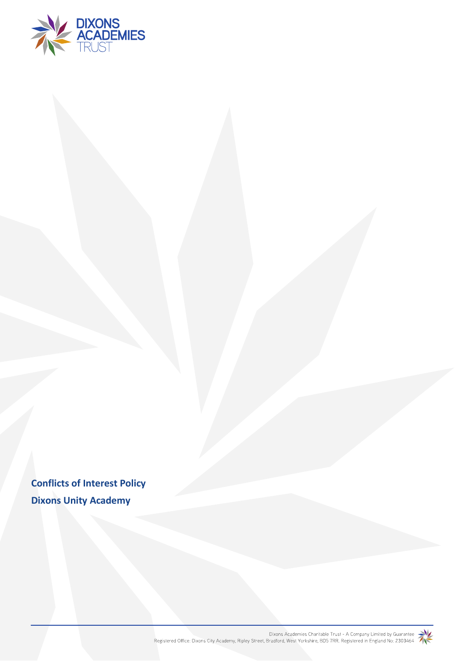

**Conflicts of Interest Policy Dixons Unity Academy**